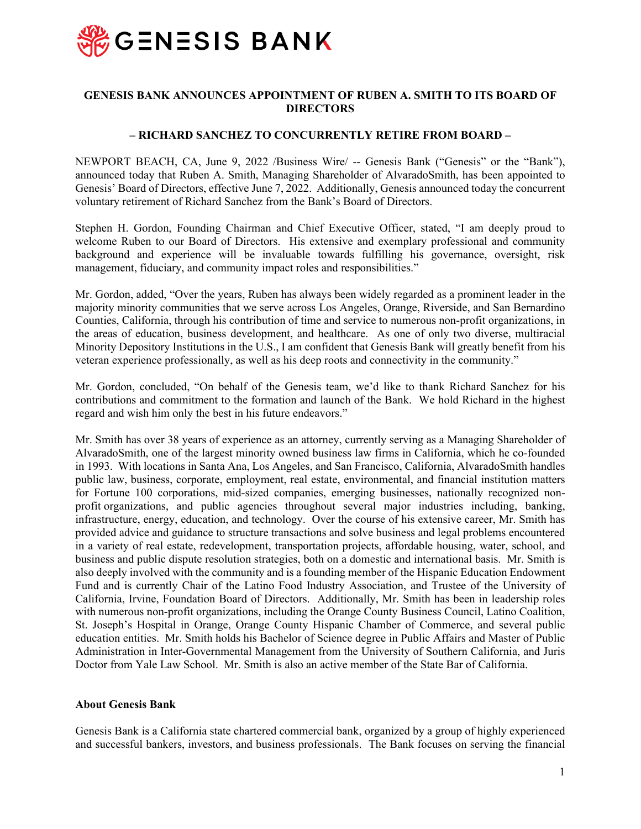

## **GENESIS BANK ANNOUNCES APPOINTMENT OF RUBEN A. SMITH TO ITS BOARD OF DIRECTORS**

## **– RICHARD SANCHEZ TO CONCURRENTLY RETIRE FROM BOARD –**

NEWPORT BEACH, CA, June 9, 2022 /Business Wire/ -- Genesis Bank ("Genesis" or the "Bank"), announced today that Ruben A. Smith, Managing Shareholder of AlvaradoSmith, has been appointed to Genesis' Board of Directors, effective June 7, 2022. Additionally, Genesis announced today the concurrent voluntary retirement of Richard Sanchez from the Bank's Board of Directors.

Stephen H. Gordon, Founding Chairman and Chief Executive Officer, stated, "I am deeply proud to welcome Ruben to our Board of Directors. His extensive and exemplary professional and community background and experience will be invaluable towards fulfilling his governance, oversight, risk management, fiduciary, and community impact roles and responsibilities."

Mr. Gordon, added, "Over the years, Ruben has always been widely regarded as a prominent leader in the majority minority communities that we serve across Los Angeles, Orange, Riverside, and San Bernardino Counties, California, through his contribution of time and service to numerous non-profit organizations, in the areas of education, business development, and healthcare. As one of only two diverse, multiracial Minority Depository Institutions in the U.S., I am confident that Genesis Bank will greatly benefit from his veteran experience professionally, as well as his deep roots and connectivity in the community."

Mr. Gordon, concluded, "On behalf of the Genesis team, we'd like to thank Richard Sanchez for his contributions and commitment to the formation and launch of the Bank. We hold Richard in the highest regard and wish him only the best in his future endeavors."

Mr. Smith has over 38 years of experience as an attorney, currently serving as a Managing Shareholder of AlvaradoSmith, one of the largest minority owned business law firms in California, which he co-founded in 1993. With locations in Santa Ana, Los Angeles, and San Francisco, California, AlvaradoSmith handles public law, business, corporate, employment, real estate, environmental, and financial institution matters for Fortune 100 corporations, mid-sized companies, emerging businesses, nationally recognized nonprofit organizations, and public agencies throughout several major industries including, banking, infrastructure, energy, education, and technology. Over the course of his extensive career, Mr. Smith has provided advice and guidance to structure transactions and solve business and legal problems encountered in a variety of real estate, redevelopment, transportation projects, affordable housing, water, school, and business and public dispute resolution strategies, both on a domestic and international basis. Mr. Smith is also deeply involved with the community and is a founding member of the Hispanic Education Endowment Fund and is currently Chair of the Latino Food Industry Association, and Trustee of the University of California, Irvine, Foundation Board of Directors. Additionally, Mr. Smith has been in leadership roles with numerous non-profit organizations, including the Orange County Business Council, Latino Coalition, St. Joseph's Hospital in Orange, Orange County Hispanic Chamber of Commerce, and several public education entities. Mr. Smith holds his Bachelor of Science degree in Public Affairs and Master of Public Administration in Inter-Governmental Management from the University of Southern California, and Juris Doctor from Yale Law School. Mr. Smith is also an active member of the State Bar of California.

## **About Genesis Bank**

Genesis Bank is a California state chartered commercial bank, organized by a group of highly experienced and successful bankers, investors, and business professionals. The Bank focuses on serving the financial